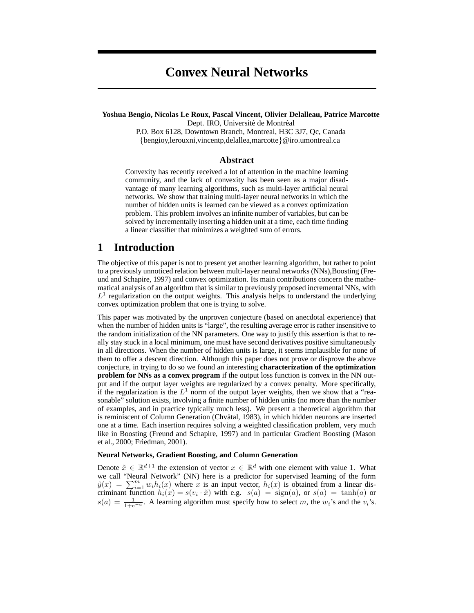# **Convex Neural Networks**

# **Yoshua Bengio, Nicolas Le Roux, Pascal Vincent, Olivier Delalleau, Patrice Marcotte** Dept. IRO, Université de Montréal

P.O. Box 6128, Downtown Branch, Montreal, H3C 3J7, Qc, Canada {bengioy,lerouxni,vincentp,delallea,marcotte}@iro.umontreal.ca

# **Abstract**

Convexity has recently received a lot of attention in the machine learning community, and the lack of convexity has been seen as a major disadvantage of many learning algorithms, such as multi-layer artificial neural networks. We show that training multi-layer neural networks in which the number of hidden units is learned can be viewed as a convex optimization problem. This problem involves an infinite number of variables, but can be solved by incrementally inserting a hidden unit at a time, each time finding a linear classifier that minimizes a weighted sum of errors.

# **1 Introduction**

The objective of this paper is not to present yet another learning algorithm, but rather to point to a previously unnoticed relation between multi-layer neural networks (NNs),Boosting (Freund and Schapire, 1997) and convex optimization. Its main contributions concern the mathematical analysis of an algorithm that is similar to previously proposed incremental NNs, with  $L<sup>1</sup>$  regularization on the output weights. This analysis helps to understand the underlying convex optimization problem that one is trying to solve.

This paper was motivated by the unproven conjecture (based on anecdotal experience) that when the number of hidden units is "large", the resulting average error is rather insensitive to the random initialization of the NN parameters. One way to justify this assertion is that to really stay stuck in a local minimum, one must have second derivatives positive simultaneously in all directions. When the number of hidden units is large, it seems implausible for none of them to offer a descent direction. Although this paper does not prove or disprove the above conjecture, in trying to do so we found an interesting **characterization of the optimization problem for NNs as a convex program** if the output loss function is convex in the NN output and if the output layer weights are regularized by a convex penalty. More specifically, if the regularization is the  $L^1$  norm of the output layer weights, then we show that a "reasonable" solution exists, involving a finite number of hidden units (no more than the number of examples, and in practice typically much less). We present a theoretical algorithm that is reminiscent of Column Generation (Chvátal, 1983), in which hidden neurons are inserted one at a time. Each insertion requires solving a weighted classification problem, very much like in Boosting (Freund and Schapire, 1997) and in particular Gradient Boosting (Mason et al., 2000; Friedman, 2001).

# **Neural Networks, Gradient Boosting, and Column Generation**

Denote  $\tilde{x} \in \mathbb{R}^{d+1}$  the extension of vector  $x \in \mathbb{R}^d$  with one element with value 1. What we call "Neural Network" (NN) here is a predictor for supervised learning of the form  $\hat{y}(x) = \sum_{i=1}^{m} w_i h_i(x)$  where x is an input vector,  $h_i(x)$  is obtained from a linear discriminant function  $h_i(x) = s(v_i \cdot \tilde{x})$  with e.g.  $s(a) = \text{sign}(a)$ , or  $s(a) = \text{tanh}(a)$  or  $s(a) = \frac{1}{1+e^{-a}}$ . A learning algorithm must specify how to select m, the w<sub>i</sub>'s and the v<sub>i</sub>'s.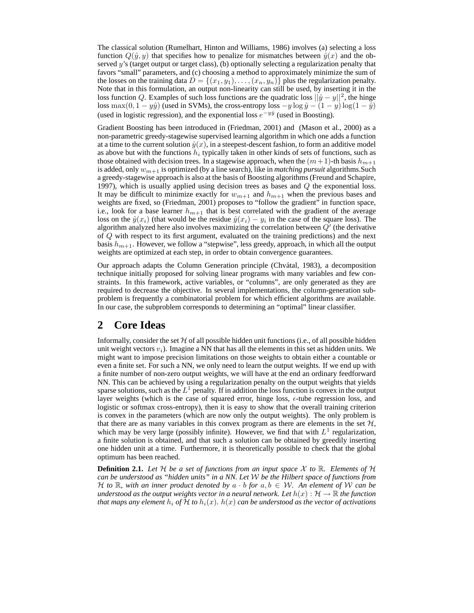The classical solution (Rumelhart, Hinton and Williams, 1986) involves (a) selecting a loss function  $Q(\hat{y}, y)$  that specifies how to penalize for mismatches between  $\hat{y}(x)$  and the observed y's (target output or target class), (b) optionally selecting a regularization penalty that favors "small" parameters, and (c) choosing a method to approximately minimize the sum of the losses on the training data  $D = \{(x_1, y_1), \ldots, (x_n, y_n)\}\$  plus the regularization penalty. Note that in this formulation, an output non-linearity can still be used, by inserting it in the loss function Q. Examples of such loss functions are the quadratic loss  $||\hat{y} - y||^2$ , the hinge loss max $(0, 1 - y\hat{y})$  (used in SVMs), the cross-entropy loss  $-y \log \hat{y} - (1 - y) \log(1 - \hat{y})$ (used in logistic regression), and the exponential loss  $e^{-y\hat{y}}$  (used in Boosting).

Gradient Boosting has been introduced in (Friedman, 2001) and (Mason et al., 2000) as a non-parametric greedy-stagewise supervised learning algorithm in which one adds a function at a time to the current solution  $\hat{y}(x)$ , in a steepest-descent fashion, to form an additive model as above but with the functions  $h_i$  typically taken in other kinds of sets of functions, such as those obtained with decision trees. In a stagewise approach, when the  $(m+1)$ -th basis  $h_{m+1}$ is added, only  $w_{m+1}$  is optimized (by a line search), like in *matching pursuit* algorithms. Such a greedy-stagewise approach is also at the basis of Boosting algorithms (Freund and Schapire, 1997), which is usually applied using decision trees as bases and  $Q$  the exponential loss. It may be difficult to minimize exactly for  $w_{m+1}$  and  $h_{m+1}$  when the previous bases and weights are fixed, so (Friedman, 2001) proposes to "follow the gradient" in function space, i.e., look for a base learner  $h_{m+1}$  that is best correlated with the gradient of the average loss on the  $\hat{y}(x_i)$  (that would be the residue  $\hat{y}(x_i) - y_i$  in the case of the square loss). The algorithm analyzed here also involves maximizing the correlation between  $Q'$  (the derivative of Q with respect to its first argument, evaluated on the training predictions) and the next basis  $h_{m+1}$ . However, we follow a "stepwise", less greedy, approach, in which all the output weights are optimized at each step, in order to obtain convergence guarantees.

Our approach adapts the Column Generation principle (Chvátal, 1983), a decomposition technique initially proposed for solving linear programs with many variables and few constraints. In this framework, active variables, or "columns", are only generated as they are required to decrease the objective. In several implementations, the column-generation subproblem is frequently a combinatorial problem for which efficient algorithms are available. In our case, the subproblem corresponds to determining an "optimal" linear classifier.

# **2 Core Ideas**

Informally, consider the set  $H$  of all possible hidden unit functions (i.e., of all possible hidden unit weight vectors  $v_i$ ). Imagine a NN that has all the elements in this set as hidden units. We might want to impose precision limitations on those weights to obtain either a countable or even a finite set. For such a NN, we only need to learn the output weights. If we end up with a finite number of non-zero output weights, we will have at the end an ordinary feedforward NN. This can be achieved by using a regularization penalty on the output weights that yields sparse solutions, such as the  $L^1$  penalty. If in addition the loss function is convex in the output layer weights (which is the case of squared error, hinge loss,  $\epsilon$ -tube regression loss, and logistic or softmax cross-entropy), then it is easy to show that the overall training criterion is convex in the parameters (which are now only the output weights). The only problem is that there are as many variables in this convex program as there are elements in the set  $H$ , which may be very large (possibly infinite). However, we find that with  $L^1$  regularization, a finite solution is obtained, and that such a solution can be obtained by greedily inserting one hidden unit at a time. Furthermore, it is theoretically possible to check that the global optimum has been reached.

**Definition 2.1.** Let  $H$  be a set of functions from an input space  $X$  to  $\mathbb{R}$ . Elements of  $H$ *can be understood as "hidden units" in a NN. Let* W *be the Hilbert space of functions from* H to R<sub>r</sub>, with an inner product denoted by  $a \cdot b$  for  $a, b \in W$ . An element of W can be *understood as the output weights vector in a neural network. Let*  $h(x): \mathcal{H} \to \mathbb{R}$  *the function that maps any element*  $h_i$  *of*  $H$  *to*  $h_i(x)$ *.*  $h(x)$  *can be understood as the vector of activations*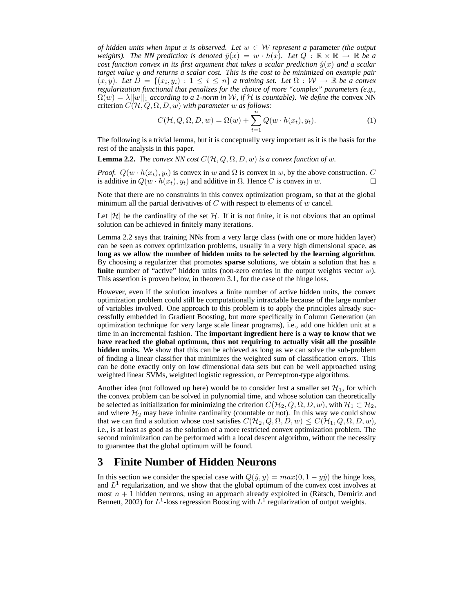*of hidden units when input* x *is observed. Let*  $w \in W$  *represent a* parameter *(the output weights*). The NN prediction is denoted  $\hat{y}(x) = w \cdot h(x)$ . Let  $Q : \mathbb{R} \times \mathbb{R} \to \mathbb{R}$  be a *cost function convex in its first argument that takes a scalar prediction*  $\hat{y}(x)$  *and a scalar target value* y *and returns a scalar cost. This is the cost to be minimized on example pair*  $(x, y)$ . Let  $\overset{\circ}{D} = \{(x_i, y_i) : 1 \leq i \leq n\}$  a training set. Let  $\Omega : \mathcal{W} \to \mathbb{R}$  be a convex *regularization functional that penalizes for the choice of more "complex" parameters (e.g.,*  $\Omega(w) = \lambda ||w||_1$  *according to a 1-norm in* W, if H is countable). We define the convex NN criterion  $C(\mathcal{H}, Q, \Omega, D, w)$  *with parameter* w *as follows:* 

$$
C(\mathcal{H}, Q, \Omega, D, w) = \Omega(w) + \sum_{t=1}^{n} Q(w \cdot h(x_t), y_t).
$$
 (1)

The following is a trivial lemma, but it is conceptually very important as it is the basis for the rest of the analysis in this paper.

**Lemma 2.2.** *The convex NN cost*  $C(\mathcal{H}, Q, \Omega, D, w)$  *is a convex function of* w.

*Proof.*  $Q(w \cdot h(x_t), y_t)$  is convex in w and  $\Omega$  is convex in w, by the above construction. C is additive in  $Q(w \cdot h(x_t), y_t)$  and additive in  $\Omega$ . Hence C is convex in w.  $\Box$ 

Note that there are no constraints in this convex optimization program, so that at the global minimum all the partial derivatives of  $C$  with respect to elements of  $w$  cancel.

Let  $|\mathcal{H}|$  be the cardinality of the set  $\mathcal{H}$ . If it is not finite, it is not obvious that an optimal solution can be achieved in finitely many iterations.

Lemma 2.2 says that training NNs from a very large class (with one or more hidden layer) can be seen as convex optimization problems, usually in a very high dimensional space, **as long as we allow the number of hidden units to be selected by the learning algorithm**. By choosing a regularizer that promotes **sparse** solutions, we obtain a solution that has a **finite** number of "active" hidden units (non-zero entries in the output weights vector w). This assertion is proven below, in theorem 3.1, for the case of the hinge loss.

However, even if the solution involves a finite number of active hidden units, the convex optimization problem could still be computationally intractable because of the large number of variables involved. One approach to this problem is to apply the principles already successfully embedded in Gradient Boosting, but more specifically in Column Generation (an optimization technique for very large scale linear programs), i.e., add one hidden unit at a time in an incremental fashion. The **important ingredient here is a way to know that we have reached the global optimum, thus not requiring to actually visit all the possible hidden units.** We show that this can be achieved as long as we can solve the sub-problem of finding a linear classifier that minimizes the weighted sum of classification errors. This can be done exactly only on low dimensional data sets but can be well approached using weighted linear SVMs, weighted logistic regression, or Perceptron-type algorithms.

Another idea (not followed up here) would be to consider first a smaller set  $\mathcal{H}_1$ , for which the convex problem can be solved in polynomial time, and whose solution can theoretically be selected as initialization for minimizing the criterion  $C(\mathcal{H}_2, Q, \Omega, D, w)$ , with  $\mathcal{H}_1 \subset \mathcal{H}_2$ , and where  $H_2$  may have infinite cardinality (countable or not). In this way we could show that we can find a solution whose cost satisfies  $C(\mathcal{H}_2, Q, \Omega, D, w) \leq C(\mathcal{H}_1, Q, \Omega, D, w)$ , i.e., is at least as good as the solution of a more restricted convex optimization problem. The second minimization can be performed with a local descent algorithm, without the necessity to guarantee that the global optimum will be found.

# **3 Finite Number of Hidden Neurons**

In this section we consider the special case with  $Q(\hat{y}, y) = max(0, 1 - y\hat{y})$  the hinge loss, and  $L<sup>1</sup>$  regularization, and we show that the global optimum of the convex cost involves at most  $n + 1$  hidden neurons, using an approach already exploited in (Rätsch, Demiriz and Bennett, 2002) for  $L^1$ -loss regression Boosting with  $L^1$  regularization of output weights.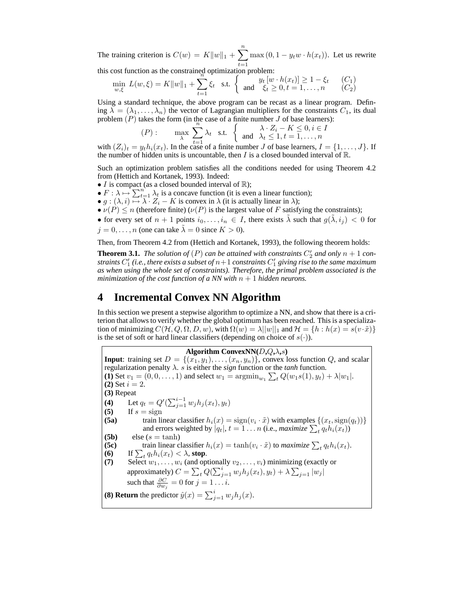The training criterion is  $C(w) = K||w||_1 + \sum_{k=1}^{n}$  $t=1$  $\max(0, 1 - y_t w \cdot h(x_t))$ . Let us rewrite

this cost function as the constrained optimization problem:\n
$$
\sum_{n=0}^{\infty} \frac{1}{n^2}
$$

$$
\min_{w,\xi} L(w,\xi) = K \|w\|_1 + \sum_{t=1}^n \xi_t \quad \text{s.t.} \quad \begin{cases} y_t [w \cdot h(x_t)] \ge 1 - \xi_t & (C_1) \\ \text{and} & \xi_t \ge 0, t = 1, \dots, n \end{cases} \tag{C_2}
$$

Using a standard technique, the above program can be recast as a linear program. Defining  $\lambda = (\lambda_1, \ldots, \lambda_n)$  the vector of Lagrangian multipliers for the constraints  $C_1$ , its dual

problem *(P)* takes the form (in the case of a finite number *J* of base learners):  
\n
$$
(P): \max_{\lambda} \sum_{t=1}^{n} \lambda_t \text{ s.t. } \begin{cases} \lambda \cdot Z_i - K \le 0, i \in I \\ \text{and } \lambda_t \le 1, t = 1, ..., n \end{cases}
$$

with  $(Z_i)_t = y_t h_i(x_t)$ . In the case of a finite number J of base learners,  $I = \{1, \ldots, J\}$ . If the number of hidden units is uncountable, then I is a closed bounded interval of  $\mathbb R$ .

Such an optimization problem satisfies all the conditions needed for using Theorem 4.2 from (Hettich and Kortanek, 1993). Indeed:

- I is compact (as a closed bounded interval of  $\mathbb{R}$ );
- $F: \lambda \mapsto \sum_{t=1}^n \lambda_t$  is a concave function (it is even a linear function);
- $g : (\lambda, i) \mapsto \lambda \cdot Z_i K$  is convex in  $\lambda$  (it is actually linear in  $\lambda$ );
- $\nu(P) \le n$  (therefore finite)  $(\nu(P))$  is the largest value of F satisfying the constraints);

• for every set of  $n+1$  points  $i_0, \ldots, i_n \in I$ , there exists  $\tilde{\lambda}$  such that  $g(\tilde{\lambda}, i_j) < 0$  for  $j = 0, \ldots, n$  (one can take  $\tilde{\lambda} = 0$  since  $K > 0$ ).

Then, from Theorem 4.2 from (Hettich and Kortanek, 1993), the following theorem holds:

**Theorem 3.1.** The solution of  $(P)$  can be attained with constraints  $C'_2$  and only  $n + 1$  con- $\sigma$   $C_1'$  (i.e., there exists a subset of  $n{+}1$  constraints  $C_1'$  giving rise to the same maximum *as when using the whole set of constraints). Therefore, the primal problem associated is the minimization of the cost function of a NN with*  $n + 1$  *hidden neurons.* 

# **4 Incremental Convex NN Algorithm**

In this section we present a stepwise algorithm to optimize a NN, and show that there is a criterion that allows to verify whether the global optimum has been reached. This is a specialization of minimizing  $C(\mathcal{H}, Q, \Omega, D, w)$ , with  $\Omega(w) = \lambda ||w||_1$  and  $\mathcal{H} = \{h : h(x) = s(v \cdot \tilde{x})\}\$ is the set of soft or hard linear classifiers (depending on choice of  $s(.)$ ).

### **Algorithm ConvexNN(**D**,**Q**,**λ**,**s**)**

**Input**: training set  $D = \{(x_1, y_1), \ldots, (x_n, y_n)\}\)$ , convex loss function Q, and scalar regularization penalty λ. s is either the *sign* function or the *tanh* function. **(1)** Set  $v_1 = (0, 0, \dots, 1)$  and select  $w_1 = \operatorname{argmin}_{w_1} \sum_t Q(w_1 s(1), y_t) + \lambda |w_1|$ . **(2)** Set  $i = 2$ . **(3)** Repeat **(4)** Let  $q_t = Q'(\sum_{j=1}^{i-1} w_j h_j(x_t), y_t)$ (5) If  $s = sign$ (5a) train linear classifier  $h_i(x) = sign(v_i \cdot \tilde{x})$  with examples  $\{(x_t, sign(q_t))\}$ and errors weighted by  $|q_t|, t = 1 \dots n$  (i.e., *maximize*  $\sum_t q_t h_i(x_t)$ ) **(5b)** else  $(s = \tanh)$ **(5c)** train linear classifier  $h_i(x) = \tanh(v_i \cdot \tilde{x})$  to *maximize*  $\sum_t q_t h_i(x_t)$ . **(6)** If  $\sum_t q_t h_i(x_t) < \lambda$ , **stop**. **(7)** Select  $w_1, \ldots, w_i$  (and optionally  $v_2, \ldots, v_i$ ) minimizing (exactly or approximately)  $C = \sum_{t} Q(\sum_{j=1}^{i} w_j h_j(x_t), y_t) + \lambda \sum_{j=1}^{i} |w_j|$ such that  $\frac{\partial C}{\partial w_j} = 0$  for  $j = 1 \dots i$ . **(8) Return** the predictor  $\hat{y}(x) = \sum_{j=1}^{i} w_j h_j(x)$ .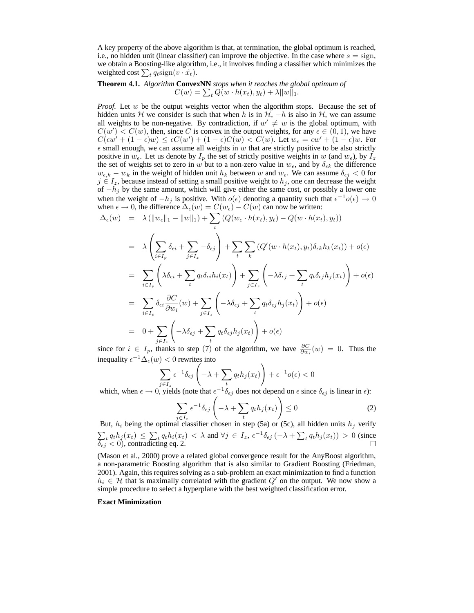A key property of the above algorithm is that, at termination, the global optimum is reached, i.e., no hidden unit (linear classifier) can improve the objective. In the case where  $s = sign$ , we obtain a Boosting-like algorithm, i.e., it involves finding a classifier which minimizes the weighted cost  $\sum_t q_t \operatorname{sign}(v \cdot \tilde{x_t}).$ 

# **Theorem 4.1.** *Algorithm* **ConvexNN** *stops when it reaches the global optimum of*  $C(w) = \sum_{t} Q(w \cdot h(x_t), y_t) + \lambda ||w||_1.$

*Proof.* Let w be the output weights vector when the algorithm stops. Because the set of hidden units H we consider is such that when h is in  $H$ ,  $-h$  is also in H, we can assume all weights to be non-negative. By contradiction, if  $w' \neq w$  is the global optimum, with  $C(w') < C(w)$ , then, since C is convex in the output weights, for any  $\epsilon \in (0, 1)$ , we have  $C(\epsilon w' + (1 - \epsilon)w) \leq \epsilon C(w') + (1 - \epsilon)C(w) < C(w)$ . Let  $w_{\epsilon} = \epsilon w' + (1 - \epsilon)w$ . For  $\epsilon$  small enough, we can assume all weights in w that are strictly positive to be also strictly positive in  $w_{\epsilon}$ . Let us denote by  $I_p$  the set of strictly positive weights in w (and  $w_{\epsilon}$ ), by  $I_z$ the set of weights set to zero in w but to a non-zero value in  $w_{\epsilon}$ , and by  $\delta_{\epsilon k}$  the difference  $w_{\epsilon,k} - w_k$  in the weight of hidden unit  $h_k$  between w and  $w_{\epsilon}$ . We can assume  $\delta_{\epsilon j} < 0$  for  $j \in I_z$ , because instead of setting a small positive weight to  $h_j$ , one can decrease the weight of  $-h_j$  by the same amount, which will give either the same cost, or possibly a lower one when the weight of  $-h_j$  is positive. With  $o(\epsilon)$  denoting a quantity such that  $\epsilon^{-1}o(\epsilon) \to 0$ when  $\epsilon \to 0$ , the difference  $\Delta_{\epsilon}(w) = C(w_{\epsilon}) - C(w)$  can now be written:

$$
\Delta_{\epsilon}(w) = \lambda \left( \|w_{\epsilon}\|_{1} - \|w\|_{1} \right) + \sum_{t} \left( Q(w_{\epsilon} \cdot h(x_{t}), y_{t}) - Q(w \cdot h(x_{t}), y_{t}) \right)
$$
\n
$$
= \lambda \left( \sum_{i \in I_{p}} \delta_{\epsilon i} + \sum_{j \in I_{z}} - \delta_{\epsilon j} \right) + \sum_{t} \sum_{k} \left( Q'(w \cdot h(x_{t}), y_{t}) \delta_{\epsilon k} h_{k}(x_{t}) \right) + o(\epsilon)
$$
\n
$$
= \sum_{i \in I_{p}} \left( \lambda \delta_{\epsilon i} + \sum_{t} q_{t} \delta_{\epsilon i} h_{i}(x_{t}) \right) + \sum_{j \in I_{z}} \left( -\lambda \delta_{\epsilon j} + \sum_{t} q_{t} \delta_{\epsilon j} h_{j}(x_{t}) \right) + o(\epsilon)
$$
\n
$$
= \sum_{i \in I_{p}} \delta_{\epsilon i} \frac{\partial C}{\partial w_{i}}(w) + \sum_{j \in I_{z}} \left( -\lambda \delta_{\epsilon j} + \sum_{t} q_{t} \delta_{\epsilon j} h_{j}(x_{t}) \right) + o(\epsilon)
$$
\n
$$
= 0 + \sum_{j \in I_{z}} \left( -\lambda \delta_{\epsilon j} + \sum_{t} q_{t} \delta_{\epsilon j} h_{j}(x_{t}) \right) + o(\epsilon)
$$

since for  $i \in I_p$ , thanks to step (7) of the algorithm, we have  $\frac{\partial C}{\partial w_i}(w) = 0$ . Thus the inequality  $\epsilon^{-1}\Delta_{\epsilon}(w) < 0$  rewrites into

$$
\sum_{j \in I_z} \epsilon^{-1} \delta_{\epsilon j} \left( -\lambda + \sum_t q_t h_j(x_t) \right) + \epsilon^{-1} o(\epsilon) < 0
$$

which, when  $\epsilon \to 0$ , yields (note that  $\epsilon^{-1}\delta_{\epsilon j}$  does not depend on  $\epsilon$  since  $\delta_{\epsilon j}$  is linear in  $\epsilon$ ):

$$
\sum_{j \in I_z} \epsilon^{-1} \delta_{\epsilon j} \left( -\lambda + \sum_t q_t h_j(x_t) \right) \le 0 \tag{2}
$$

But,  $h_i$  being the optimal classifier chosen in step (5a) or (5c), all hidden units  $h_j$  verify  $\sum_t q_t h_j(x_t) \leq \sum_t q_t h_i(x_t) < \lambda$  and  $\forall j \in I_z$ ,  $\epsilon^{-1} \delta_{\epsilon j}(-\lambda + \sum_t q_t h_j(x_t)) > 0$  (since  $\delta_{\epsilon j}$  < 0), contradicting eq. 2.

(Mason et al., 2000) prove a related global convergence result for the AnyBoost algorithm, a non-parametric Boosting algorithm that is also similar to Gradient Boosting (Friedman, 2001). Again, this requires solving as a sub-problem an exact minimization to find a function  $h_i \in \mathcal{H}$  that is maximally correlated with the gradient  $Q'$  on the output. We now show a simple procedure to select a hyperplane with the best weighted classification error.

### **Exact Minimization**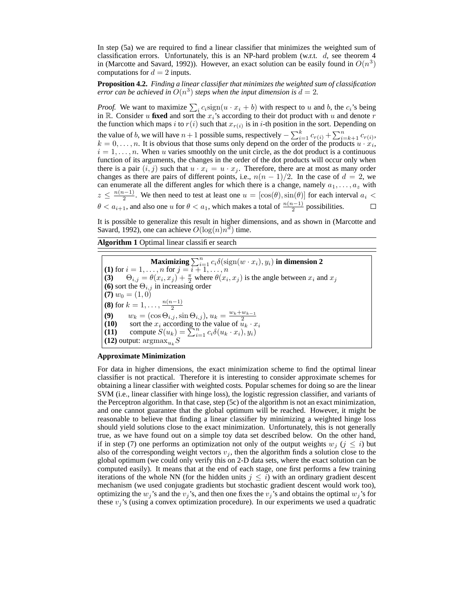In step (5a) we are required to find a linear classifier that minimizes the weighted sum of classification errors. Unfortunately, this is an NP-hard problem (w.r.t.  $d$ , see theorem 4 in (Marcotte and Savard, 1992)). However, an exact solution can be easily found in  $O(n^3)$ computations for  $d = 2$  inputs.

**Proposition 4.2.** *Finding a linear classifier that minimizes the weighted sum of classification error can be achieved in*  $O(n^3)$  *steps when the input dimension is*  $d = 2$ *.* 

*Proof.* We want to maximize  $\sum_i c_i \text{sign}(u \cdot x_i + b)$  with respect to u and b, the  $c_i$ 's being in R. Consider u fixed and sort the  $x_i$ 's according to their dot product with u and denote r the function which maps i to  $r(i)$  such that  $x_{r(i)}$  is in i-th position in the sort. Depending on the value of b, we will have  $n+1$  possible sums, respectively  $-\sum_{i=1}^{k} c_{r(i)} + \sum_{i=k+1}^{n} c_{r(i)}$ ,  $k = 0, \ldots, n$ . It is obvious that those sums only depend on the order of the products  $u \cdot x_i$ ,  $i = 1, \ldots, n$ . When u varies smoothly on the unit circle, as the dot product is a continuous function of its arguments, the changes in the order of the dot products will occur only when there is a pair  $(i, j)$  such that  $u \cdot x_i = u \cdot x_j$ . Therefore, there are at most as many order changes as there are pairs of different points, i.e.,  $n(n - 1)/2$ . In the case of  $d = 2$ , we can enumerate all the different angles for which there is a change, namely  $a_1, \ldots, a_z$  with  $z \leq \frac{n(n-1)}{2}$  $\frac{2^{i-1}}{2}$ . We then need to test at least one  $u = [\cos(\theta), \sin(\theta)]$  for each interval  $a_i <$  $\theta < a_{i+1}$ , and also one u for  $\theta < a_1$ , which makes a total of  $\frac{n(n-1)}{2}$  possibilities.

It is possible to generalize this result in higher dimensions, and as shown in (Marcotte and Savard, 1992), one can achieve  $O(\log(n)n^d)$  time.

**Algorithm 1** Optimal linear classifier search

**Maximizing**  $\sum_{i=1}^{n} c_i \delta(\text{sign}(w \cdot x_i), y_i)$  in dimension 2<br> **(1)** for  $i = 1, ..., n$  for  $j = i + 1, ..., n$ **(3)**  $\Theta_{i,j} = \theta(x_i, x_j) + \frac{\pi}{2}$  where  $\theta(x_i, x_j)$  is the angle between  $x_i$  and  $x_j$ **(6)** sort the  $\Theta_{i,j}$  in increasing order **(7)**  $w_0 = (1, 0)$ **(8)** for  $k = 1, \ldots, \frac{n(n-1)}{2}$ (9)  $w_k = (\cos \Theta_{i,j}, \sin \Theta_{i,j}), u_k = \frac{w_k + w_{k-1}}{2}$ <br>
(10) sort the  $x_i$  according to the value of  $u_k \cdot x_i$ <br>
(11) compute  $S(u_k) = \sum_{i=1}^n c_i \delta(u_k \cdot x_i), y_i$ ) **(12)** output:  $\mathrm{argmax}_{u_k} S$ 

### **Approximate Minimization**

For data in higher dimensions, the exact minimization scheme to find the optimal linear classifier is not practical. Therefore it is interesting to consider approximate schemes for obtaining a linear classifier with weighted costs. Popular schemes for doing so are the linear SVM (i.e., linear classifier with hinge loss), the logistic regression classifier, and variants of the Perceptron algorithm. In that case, step (5c) of the algorithm is not an exact minimization, and one cannot guarantee that the global optimum will be reached. However, it might be reasonable to believe that finding a linear classifier by minimizing a weighted hinge loss should yield solutions close to the exact minimization. Unfortunately, this is not generally true, as we have found out on a simple toy data set described below. On the other hand, if in step (7) one performs an optimization not only of the output weights  $w_i$  ( $j \leq i$ ) but also of the corresponding weight vectors  $v_j$ , then the algorithm finds a solution close to the global optimum (we could only verify this on 2-D data sets, where the exact solution can be computed easily). It means that at the end of each stage, one first performs a few training iterations of the whole NN (for the hidden units  $j \leq i$ ) with an ordinary gradient descent mechanism (we used conjugate gradients but stochastic gradient descent would work too), optimizing the  $w_j$ 's and the  $v_j$ 's, and then one fixes the  $v_j$ 's and obtains the optimal  $w_j$ 's for these  $v_j$ 's (using a convex optimization procedure). In our experiments we used a quadratic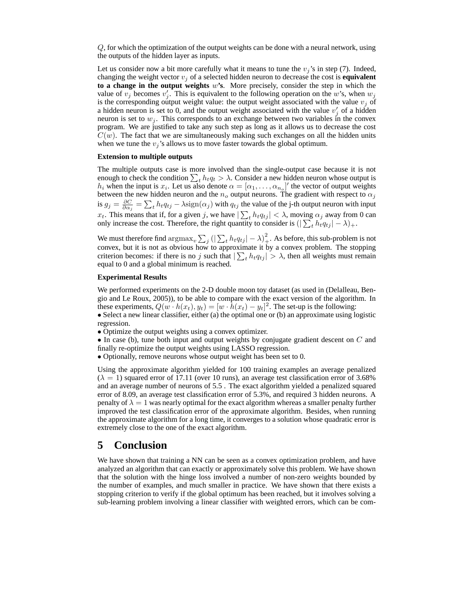Q, for which the optimization of the output weights can be done with a neural network, using the outputs of the hidden layer as inputs.

Let us consider now a bit more carefully what it means to tune the  $v_j$ 's in step (7). Indeed, changing the weight vector  $v_j$  of a selected hidden neuron to decrease the cost is **equivalent to a change in the output weights** w**'s**. More precisely, consider the step in which the value of  $v_j$  becomes  $v_j'$ . This is equivalent to the following operation on the w's, when  $w_j$ is the corresponding output weight value: the output weight associated with the value  $v_j$  of a hidden neuron is set to 0, and the output weight associated with the value  $v_j$  of a hidden neuron is set to  $w_j$ . This corresponds to an exchange between two variables in the convex program. We are justified to take any such step as long as it allows us to decrease the cost  $C(w)$ . The fact that we are simultaneously making such exchanges on all the hidden units when we tune the  $v_j$ 's allows us to move faster towards the global optimum.

### **Extension to multiple outputs**

The multiple outputs case is more involved than the single-output case because it is not enough to check the condition  $\sum_{t} h_t q_t > \lambda$ . Consider a new hidden neuron whose output is  $h_i$  when the input is  $x_i$ . Let us also denote  $\alpha = [\alpha_1, \dots, \alpha_{n_o}]'$  the vector of output weights between the new hidden neuron and the  $n_o$  output neurons. The gradient with respect to  $\alpha_j$ is  $g_j = \frac{\partial C}{\partial \alpha_j} = \sum_t h_t q_{tj} - \lambda \text{sign}(\alpha_j)$  with  $q_{tj}$  the value of the j-th output neuron with input  $x_t$ . This means that if, for a given j, we have  $|\sum_t h_t q_{tj}| < \lambda$ , moving  $\alpha_j$  away from 0 can only increase the cost. Therefore, the right quantity to consider is  $(|\sum_{t} h_t q_{tj}| - \lambda)_{+}$ .

We must therefore find  $\operatorname{argmax}_{v}\sum_{j}\left(\left|\sum_{t}h_{t}q_{tj}\right|-\lambda\right)_{+}^{2}$  $+^2$ . As before, this sub-problem is not convex, but it is not as obvious how to approximate it by a convex problem. The stopping criterion becomes: if there is no j such that  $|\sum_{t} h_t q_{tj}| > \lambda$ , then all weights must remain equal to 0 and a global minimum is reached.

#### **Experimental Results**

We performed experiments on the 2-D double moon toy dataset (as used in (Delalleau, Bengio and Le Roux, 2005)), to be able to compare with the exact version of the algorithm. In these experiments,  $Q(w \cdot h(x_t), y_t) = [w \cdot \hat{h}(x_t) - y_t]^2$ . The set-up is the following: • Select a new linear classifier, either (a) the optimal one or (b) an approximate using logistic regression.

• Optimize the output weights using a convex optimizer.

 $\bullet$  In case (b), tune both input and output weights by conjugate gradient descent on  $C$  and finally re-optimize the output weights using LASSO regression.

• Optionally, remove neurons whose output weight has been set to 0.

Using the approximate algorithm yielded for 100 training examples an average penalized  $(\lambda = 1)$  squared error of 17.11 (over 10 runs), an average test classification error of 3.68% and an average number of neurons of 5.5 . The exact algorithm yielded a penalized squared error of 8.09, an average test classification error of 5.3%, and required 3 hidden neurons. A penalty of  $\lambda = 1$  was nearly optimal for the exact algorithm whereas a smaller penalty further improved the test classification error of the approximate algorithm. Besides, when running the approximate algorithm for a long time, it converges to a solution whose quadratic error is extremely close to the one of the exact algorithm.

# **5 Conclusion**

We have shown that training a NN can be seen as a convex optimization problem, and have analyzed an algorithm that can exactly or approximately solve this problem. We have shown that the solution with the hinge loss involved a number of non-zero weights bounded by the number of examples, and much smaller in practice. We have shown that there exists a stopping criterion to verify if the global optimum has been reached, but it involves solving a sub-learning problem involving a linear classifier with weighted errors, which can be com-